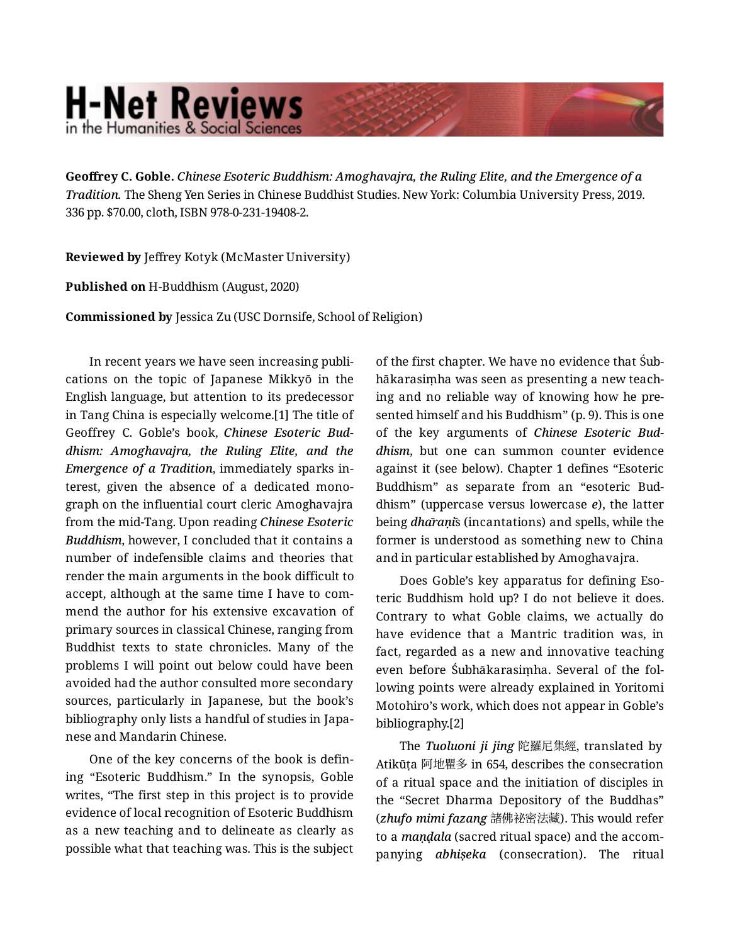## **H-Net Reviews** in the Humanities & Social Sciend

**Geoffrey C. Goble.** *Chinese Esoteric Buddhism: Amoghavajra, the Ruling Elite, and the Emergence of a Tradition.* The Sheng Yen Series in Chinese Buddhist Studies. New York: Columbia University Press, 2019. 336 pp. \$70.00, cloth, ISBN 978-0-231-19408-2.

**Reviewed by** Jeffrey Kotyk (McMaster University)

**Published on** H-Buddhism (August, 2020)

**Commissioned by** Jessica Zu (USC Dornsife, School of Religion)

In recent years we have seen increasing publi‐ cations on the topic of Japanese Mikkyō in the English language, but attention to its predecessor in Tang China is especially welcome.[1] The title of Geoffrey C. Goble's book, *Chinese Esoteric Bud‐ dhism: Amoghavajra, the Ruling Elite, and the Emergence of a Tradition*, immediately sparks in‐ terest, given the absence of a dedicated mono‐ graph on the influential court cleric Amoghavajra from the mid-Tang. Upon reading *Chinese Esoteric Buddhism*, however, I concluded that it contains a number of indefensible claims and theories that render the main arguments in the book difficult to accept, although at the same time I have to com‐ mend the author for his extensive excavation of primary sources in classical Chinese, ranging from Buddhist texts to state chronicles. Many of the problems I will point out below could have been avoided had the author consulted more secondary sources, particularly in Japanese, but the book's bibliography only lists a handful of studies in Japa‐ nese and Mandarin Chinese.

One of the key concerns of the book is defin‐ ing "Esoteric Buddhism." In the synopsis, Goble writes, "The first step in this project is to provide evidence of local recognition of Esoteric Buddhism as a new teaching and to delineate as clearly as possible what that teaching was. This is the subject of the first chapter. We have no evidence that Śub‐ hākarasiṃha was seen as presenting a new teach‐ ing and no reliable way of knowing how he pre‐ sented himself and his Buddhism" (p. 9). This is one of the key arguments of *Chinese Esoteric Bud‐ dhism*, but one can summon counter evidence against it (see below). Chapter 1 defines "Esoteric Buddhism" as separate from an "esoteric Bud‐ dhism" (uppercase versus lowercase *e*), the latter being *dhāraṇī*s (incantations) and spells, while the former is understood as something new to China and in particular established by Amoghavajra.

Does Goble's key apparatus for defining Eso‐ teric Buddhism hold up? I do not believe it does. Contrary to what Goble claims, we actually do have evidence that a Mantric tradition was, in fact, regarded as a new and innovative teaching even before Śubhākarasiṃha. Several of the fol‐ lowing points were already explained in Yoritomi Motohiro's work, which does not appear in Goble's bibliography.[2]

The *Tuoluoni ji jing* 陀羅尼集經, translated by Atikūṭa 阿地瞿多 in 654, describes the consecration of a ritual space and the initiation of disciples in the "Secret Dharma Depository of the Buddhas" (*zhufo mimi fazang* 諸佛祕密法藏). This would refer to a *maṇḍala* (sacred ritual space) and the accom‐ panying *abhiṣeka* (consecration). The ritual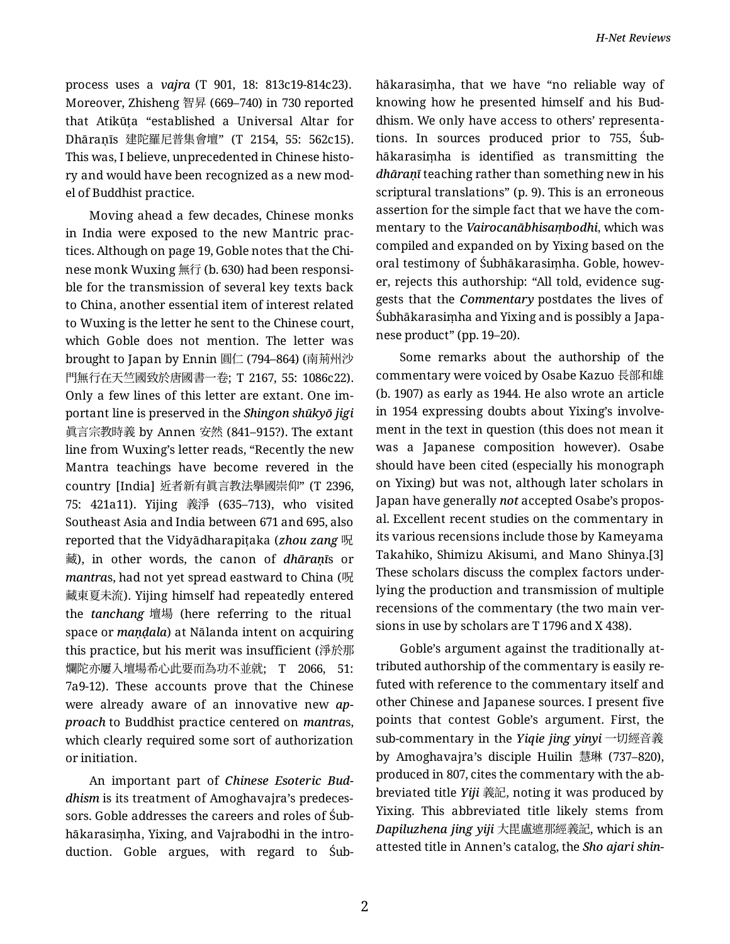process uses a *vajra* (T 901, 18: 813c19-814c23). Moreover, Zhisheng 智昇 (669–740) in 730 reported that Atikūṭa "established a Universal Altar for Dhāraṇīs 建陀羅尼普集會壇" (T 2154, 55: 562c15). This was, I believe, unprecedented in Chinese histo‐ ry and would have been recognized as a new mod‐ el of Buddhist practice.

Moving ahead a few decades, Chinese monks in India were exposed to the new Mantric prac‐ tices. Although on page 19, Goble notes that the Chi‐ nese monk Wuxing 無行 (b. 630) had been responsi‐ ble for the transmission of several key texts back to China, another essential item of interest related to Wuxing is the letter he sent to the Chinese court, which Goble does not mention. The letter was brought to Japan by Ennin 圓仁 (794–864) (南荊州沙 門無行在天竺國致於唐國書一卷; T 2167, 55: 1086c22). Only a few lines of this letter are extant. One im‐ portant line is preserved in the *Shingon shūkyō jigi* 眞言宗教時義 by Annen 安然 (841–915?). The extant line from Wuxing's letter reads, "Recently the new Mantra teachings have become revered in the country [India] 近者新有眞言教法擧國崇仰" (T 2396, 75: 421a11). Yijing 義淨 (635–713), who visited Southeast Asia and India between 671 and 695, also reported that the Vidyādharapiṭaka (*zhou zang* 呪 藏), in other words, the canon of *dhāraṇī*s or *mantra*s, had not yet spread eastward to China (呪 藏東夏未流). Yijing himself had repeatedly entered the *tanchang* 壇場 (here referring to the ritual space or *maṇḍala*) at Nālanda intent on acquiring this practice, but his merit was insufficient (淨於那 爛陀亦屢入壇場希心此要而為功不並就; T 2066, 51: 7a9-12). These accounts prove that the Chinese were already aware of an innovative new *ap‐ proach* to Buddhist practice centered on *mantra*s, which clearly required some sort of authorization or initiation.

An important part of *Chinese Esoteric Bud‐ dhism* is its treatment of Amoghavajra's predeces‐ sors. Goble addresses the careers and roles of Śub‐ hākarasiṃha, Yixing, and Vajrabodhi in the intro‐ duction. Goble argues, with regard to Śub‐ hākarasiṃha, that we have "no reliable way of knowing how he presented himself and his Bud‐ dhism. We only have access to others' representa‐ tions. In sources produced prior to 755, Śub‐ hākarasiṃha is identified as transmitting the *dhāraṇī* teaching rather than something new in his scriptural translations" (p. 9). This is an erroneous assertion for the simple fact that we have the com‐ mentary to the *Vairocanābhisaṃbodhi*, which was compiled and expanded on by Yixing based on the oral testimony of Śubhākarasiṃha. Goble, howev‐ er, rejects this authorship: "All told, evidence sug‐ gests that the *Commentary* postdates the lives of Śubhākarasiṃha and Yixing and is possibly a Japa‐ nese product" (pp. 19–20).

Some remarks about the authorship of the commentary were voiced by Osabe Kazuo 長部和雄 (b. 1907) as early as 1944. He also wrote an article in 1954 expressing doubts about Yixing's involve‐ ment in the text in question (this does not mean it was a Japanese composition however). Osabe should have been cited (especially his monograph on Yixing) but was not, although later scholars in Japan have generally *not* accepted Osabe's propos‐ al. Excellent recent studies on the commentary in its various recensions include those by Kameyama Takahiko, Shimizu Akisumi, and Mano Shinya.[3] These scholars discuss the complex factors under‐ lying the production and transmission of multiple recensions of the commentary (the two main ver‐ sions in use by scholars are T 1796 and X 438).

Goble's argument against the traditionally at‐ tributed authorship of the commentary is easily re‐ futed with reference to the commentary itself and other Chinese and Japanese sources. I present five points that contest Goble's argument. First, the sub-commentary in the *Yiqie jing yinyi* 一切經音義 by Amoghavajra's disciple Huilin 慧琳 (737–820), produced in 807, cites the commentary with the ab‐ breviated title *Yiji* 義記, noting it was produced by Yixing. This abbreviated title likely stems from *Dapiluzhena jing yiji* 大毘盧遮那經義記, which is an attested title in Annen's catalog, the *Sho ajari shin‐*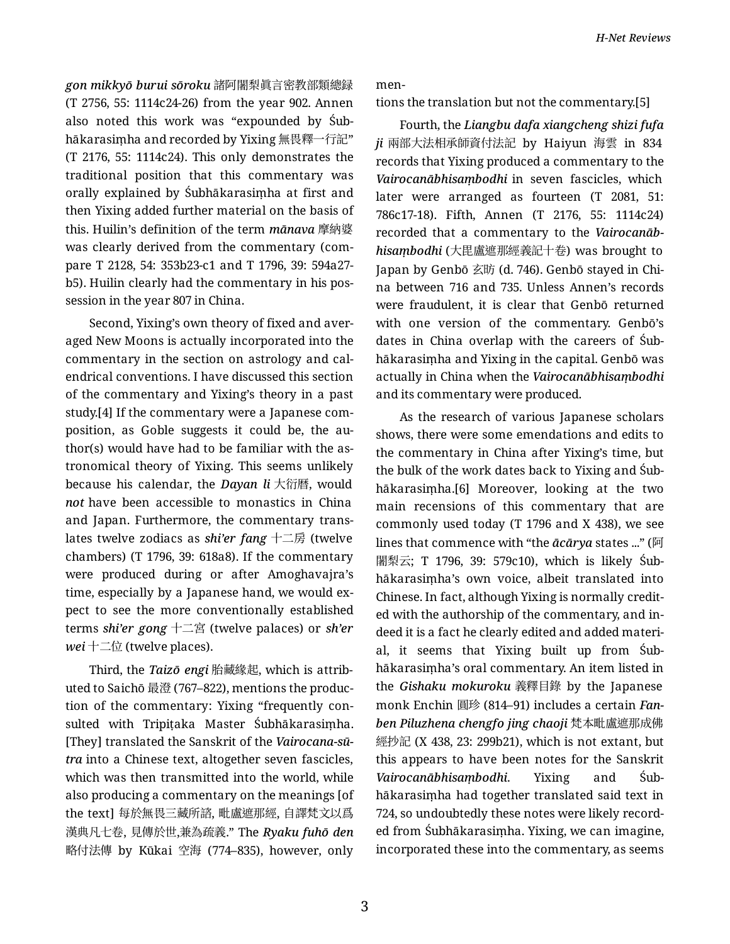*gon mikkyō burui sōroku* 諸阿闍梨眞言密教部類總録 (T 2756, 55: 1114c24-26) from the year 902. Annen also noted this work was "expounded by Śub‐ hākarasiṃha and recorded by Yixing 無畏釋一行記" (T 2176, 55: 1114c24). This only demonstrates the traditional position that this commentary was orally explained by Śubhākarasiṃha at first and then Yixing added further material on the basis of this. Huilin's definition of the term *mānava* 摩納婆 was clearly derived from the commentary (com‐ pare T 2128, 54: 353b23-c1 and T 1796, 39: 594a27 b5). Huilin clearly had the commentary in his pos‐ session in the year 807 in China.

Second, Yixing's own theory of fixed and aver‐ aged New Moons is actually incorporated into the commentary in the section on astrology and cal‐ endrical conventions. I have discussed this section of the commentary and Yixing's theory in a past study.[4] If the commentary were a Japanese com‐ position, as Goble suggests it could be, the author(s) would have had to be familiar with the as‐ tronomical theory of Yixing. This seems unlikely because his calendar, the *Dayan li* 大衍暦, would *not* have been accessible to monastics in China and Japan. Furthermore, the commentary trans‐ lates twelve zodiacs as *shi'er fang* 十二房 (twelve chambers) (T 1796, 39: 618a8). If the commentary were produced during or after Amoghavajra's time, especially by a Japanese hand, we would ex‐ pect to see the more conventionally established terms *shi'er gong* 十二宮 (twelve palaces) or *sh'er wei* 十二位 (twelve places).

Third, the *Taizō engi* 胎藏緣起, which is attrib‐ uted to Saichō 最澄 (767–822), mentions the produc‐ tion of the commentary: Yixing "frequently con‐ sulted with Tripiṭaka Master Śubhākarasiṃha. [They] translated the Sanskrit of the *Vairocana-sū‐ tra* into a Chinese text, altogether seven fascicles, which was then transmitted into the world, while also producing a commentary on the meanings [of the text] 每於無畏三藏所諮, 毗盧遮那經, 自譯梵文以爲 漢典凡七卷, 見傳於世,兼為疏義." The *Ryaku fuhō den* 略付法傳 by Kūkai 空海 (774–835), however, only men‐

tions the translation but not the commentary.[5]

Fourth, the *Liangbu dafa xiangcheng shizi fufa ji* 兩部大法相承師資付法記 by Haiyun 海雲 in 834 records that Yixing produced a commentary to the *Vairocanābhisaṃbodhi* in seven fascicles, which later were arranged as fourteen (T 2081, 51: 786c17-18). Fifth, Annen (T 2176, 55: 1114c24) recorded that a commentary to the *Vairocanāb‐ hisaṃbodhi* (大毘盧遮那經義記十卷) was brought to Japan by Genbō 玄昉 (d. 746). Genbō stayed in Chi‐ na between 716 and 735. Unless Annen's records were fraudulent, it is clear that Genbō returned with one version of the commentary. Genbō's dates in China overlap with the careers of Śub‐ hākarasiṃha and Yixing in the capital. Genbō was actually in China when the *Vairocanābhisaṃbodhi* and its commentary were produced.

As the research of various Japanese scholars shows, there were some emendations and edits to the commentary in China after Yixing's time, but the bulk of the work dates back to Yixing and Śub‐ hākarasiṃha.[6] Moreover, looking at the two main recensions of this commentary that are commonly used today (T 1796 and X 438), we see lines that commence with "the *ācārya* states ..." (阿 闍梨云; T 1796, 39: 579c10), which is likely Śub‐ hākarasiṃha's own voice, albeit translated into Chinese. In fact, although Yixing is normally credit‐ ed with the authorship of the commentary, and in‐ deed it is a fact he clearly edited and added materi‐ al, it seems that Yixing built up from Śub‐ hākarasiṃha's oral commentary. An item listed in the *Gishaku mokuroku* 義釋目錄 by the Japanese monk Enchin 圓珍 (814–91) includes a certain *Fan‐ ben Piluzhena chengfo jing chaoji* 梵本毗盧遮那成佛 經抄記 (X 438, 23: 299b21), which is not extant, but this appears to have been notes for the Sanskrit *Vairocanābhisaṃbodhi*. Yixing and Śub‐ hākarasiṃha had together translated said text in 724, so undoubtedly these notes were likely record‐ ed from Śubhākarasiṃha. Yixing, we can imagine, incorporated these into the commentary, as seems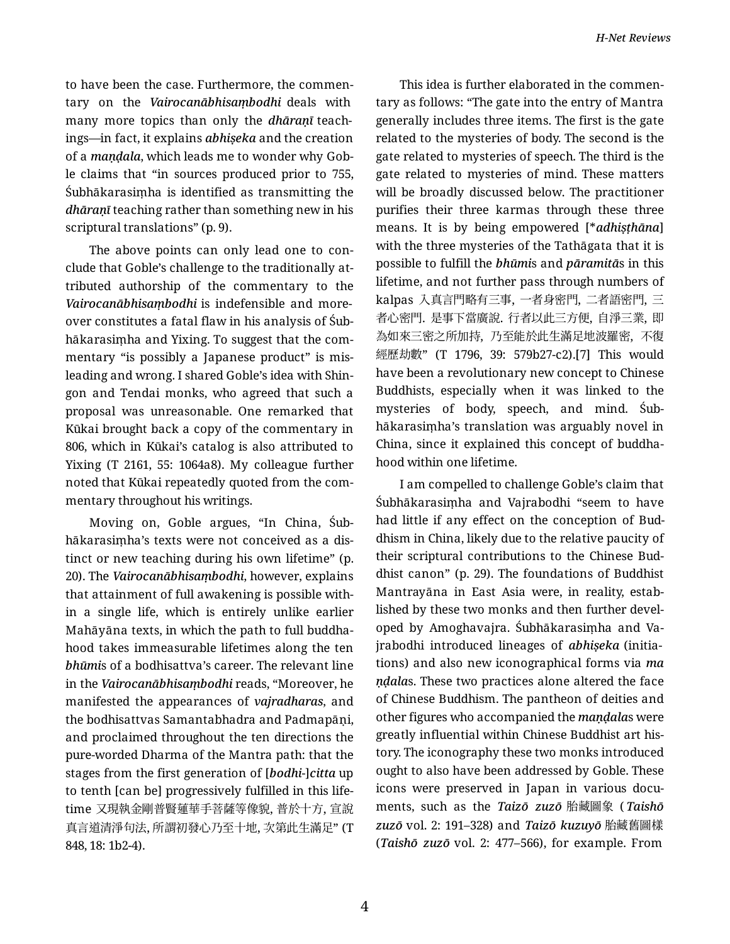to have been the case. Furthermore, the commen‐ tary on the *Vairocanābhisaṃbodhi* deals with many more topics than only the *dhāraṇī* teach‐ ings—in fact, it explains *abhiṣeka* and the creation of a *maṇḍala*, which leads me to wonder why Gob‐ le claims that "in sources produced prior to 755, Śubhākarasiṃha is identified as transmitting the *dhāraṇī* teaching rather than something new in his scriptural translations" (p. 9).

The above points can only lead one to con‐ clude that Goble's challenge to the traditionally at‐ tributed authorship of the commentary to the *Vairocanābhisaṃbodhi* is indefensible and more‐ over constitutes a fatal flaw in his analysis of Śub‐ hākarasiṃha and Yixing. To suggest that the com‐ mentary "is possibly a Japanese product" is misleading and wrong. I shared Goble's idea with Shin‐ gon and Tendai monks, who agreed that such a proposal was unreasonable. One remarked that Kūkai brought back a copy of the commentary in 806, which in Kūkai's catalog is also attributed to Yixing (T 2161, 55: 1064a8). My colleague further noted that Kūkai repeatedly quoted from the com‐ mentary throughout his writings.

Moving on, Goble argues, "In China, Śub‐ hākarasiṃha's texts were not conceived as a dis‐ tinct or new teaching during his own lifetime" (p. 20). The *Vairocanābhisaṃbodhi*, however, explains that attainment of full awakening is possible with‐ in a single life, which is entirely unlike earlier Mahāyāna texts, in which the path to full buddha‐ hood takes immeasurable lifetimes along the ten *bhūmi*s of a bodhisattva's career. The relevant line in the *Vairocanābhisaṃbodhi* reads, "Moreover, he manifested the appearances of *vajradharas*, and the bodhisattvas Samantabhadra and Padmapāṇi, and proclaimed throughout the ten directions the pure-worded Dharma of the Mantra path: that the stages from the first generation of [*bodhi*-]*citta* up to tenth [can be] progressively fulfilled in this life‐ time 又現執金剛普賢蓮華手菩薩等像貌, 普於十方, 宣說 真言道清淨句法, 所謂初發心乃至十地, 次第此生滿足" (T 848, 18: 1b2-4).

This idea is further elaborated in the commen‐ tary as follows: "The gate into the entry of Mantra generally includes three items. The first is the gate related to the mysteries of body. The second is the gate related to mysteries of speech. The third is the gate related to mysteries of mind. These matters will be broadly discussed below. The practitioner purifies their three karmas through these three means. It is by being empowered [\**adhiṣṭhāna*] with the three mysteries of the Tathāgata that it is possible to fulfill the *bhūmi*s and *pāramitā*s in this lifetime, and not further pass through numbers of kalpas 入真言門略有三事, 一者身密門, 二者語密門, 三 者心密門. 是事下當廣說. 行者以此三方便, 自淨三業, 即 為如來三密之所加持, 乃至能於此生滿足地波羅密, 不復 經歷劫數" (T 1796, 39: 579b27-c2).[7] This would have been a revolutionary new concept to Chinese Buddhists, especially when it was linked to the mysteries of body, speech, and mind. Śub‐ hākarasiṃha's translation was arguably novel in China, since it explained this concept of buddha‐ hood within one lifetime.

I am compelled to challenge Goble's claim that Śubhākarasiṃha and Vajrabodhi "seem to have had little if any effect on the conception of Bud‐ dhism in China, likely due to the relative paucity of their scriptural contributions to the Chinese Bud‐ dhist canon" (p. 29). The foundations of Buddhist Mantrayāna in East Asia were, in reality, estab‐ lished by these two monks and then further devel‐ oped by Amoghavajra. Śubhākarasiṃha and Va‐ jrabodhi introduced lineages of *abhiṣeka* (initia‐ tions) and also new iconographical forms via *ma ṇḍala*s. These two practices alone altered the face of Chinese Buddhism. The pantheon of deities and other figures who accompanied the *maṇḍala*s were greatly influential within Chinese Buddhist art his‐ tory. The iconography these two monks introduced ought to also have been addressed by Goble. These icons were preserved in Japan in various docu‐ ments, such as the *Taizō zuzō* 胎藏圖象 ( *Taishō zuzō* vol. 2: 191–328) and *Taizō kuzuyō* 胎藏舊圖樣 (*Taishō zuzō* vol. 2: 477–566), for example. From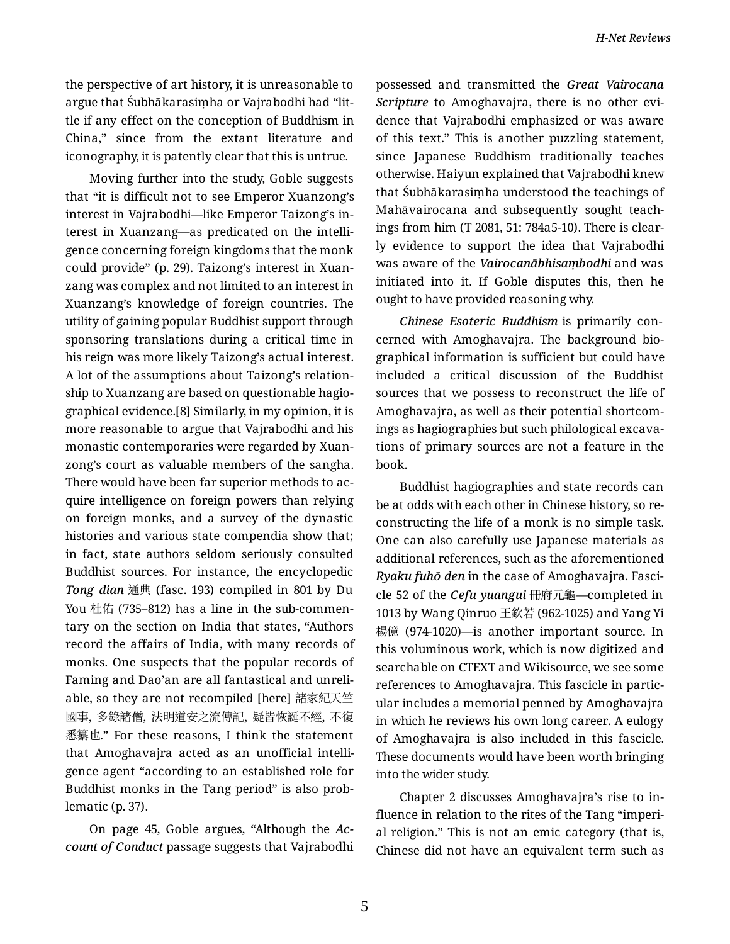the perspective of art history, it is unreasonable to argue that Śubhākarasiṃha or Vajrabodhi had "lit‐ tle if any effect on the conception of Buddhism in China," since from the extant literature and iconography, it is patently clear that this is untrue.

Moving further into the study, Goble suggests that "it is difficult not to see Emperor Xuanzong's interest in Vajrabodhi—like Emperor Taizong's in‐ terest in Xuanzang—as predicated on the intelli‐ gence concerning foreign kingdoms that the monk could provide" (p. 29). Taizong's interest in Xuan‐ zang was complex and not limited to an interest in Xuanzang's knowledge of foreign countries. The utility of gaining popular Buddhist support through sponsoring translations during a critical time in his reign was more likely Taizong's actual interest. A lot of the assumptions about Taizong's relation‐ ship to Xuanzang are based on questionable hagio‐ graphical evidence.[8] Similarly, in my opinion, it is more reasonable to argue that Vajrabodhi and his monastic contemporaries were regarded by Xuan‐ zong's court as valuable members of the sangha. There would have been far superior methods to ac‐ quire intelligence on foreign powers than relying on foreign monks, and a survey of the dynastic histories and various state compendia show that; in fact, state authors seldom seriously consulted Buddhist sources. For instance, the encyclopedic *Tong dian* 通典 (fasc. 193) compiled in 801 by Du You 杜佑 (735–812) has a line in the sub-commentary on the section on India that states, "Authors record the affairs of India, with many records of monks. One suspects that the popular records of Faming and Dao'an are all fantastical and unreli‐ able, so they are not recompiled [here] 諸家紀天竺 國事, 多錄諸僧, 法明道安之流傳記, 疑皆恢誕不經, 不復 悉纂也." For these reasons, I think the statement that Amoghavajra acted as an unofficial intelli‐ gence agent "according to an established role for Buddhist monks in the Tang period" is also prob‐ lematic (p. 37).

On page 45, Goble argues, "Although the *Ac‐ count of Conduct* passage suggests that Vajrabodhi possessed and transmitted the *Great Vairocana Scripture* to Amoghavajra, there is no other evidence that Vajrabodhi emphasized or was aware of this text." This is another puzzling statement, since Japanese Buddhism traditionally teaches otherwise. Haiyun explained that Vajrabodhi knew that Śubhākarasiṃha understood the teachings of Mahāvairocana and subsequently sought teach‐ ings from him (T 2081, 51: 784a5-10). There is clear‐ ly evidence to support the idea that Vajrabodhi was aware of the *Vairocanābhisaṃbodhi* and was initiated into it. If Goble disputes this, then he ought to have provided reasoning why.

*Chinese Esoteric Buddhism* is primarily con‐ cerned with Amoghavajra. The background bio‐ graphical information is sufficient but could have included a critical discussion of the Buddhist sources that we possess to reconstruct the life of Amoghavajra, as well as their potential shortcom‐ ings as hagiographies but such philological excava‐ tions of primary sources are not a feature in the book.

Buddhist hagiographies and state records can be at odds with each other in Chinese history, so re‐ constructing the life of a monk is no simple task. One can also carefully use Japanese materials as additional references, such as the aforementioned *Ryaku fuhō den* in the case of Amoghavajra. Fasci‐ cle 52 of the *Cefu yuangui* 冊府元龜—completed in 1013 by Wang Qinruo 王欽若 (962-1025) and Yang Yi 楊億 (974-1020)—is another important source. In this voluminous work, which is now digitized and searchable on CTEXT and Wikisource, we see some references to Amoghavajra. This fascicle in partic‐ ular includes a memorial penned by Amoghavajra in which he reviews his own long career. A eulogy of Amoghavajra is also included in this fascicle. These documents would have been worth bringing into the wider study.

Chapter 2 discusses Amoghavajra's rise to in‐ fluence in relation to the rites of the Tang "imperi‐ al religion." This is not an emic category (that is, Chinese did not have an equivalent term such as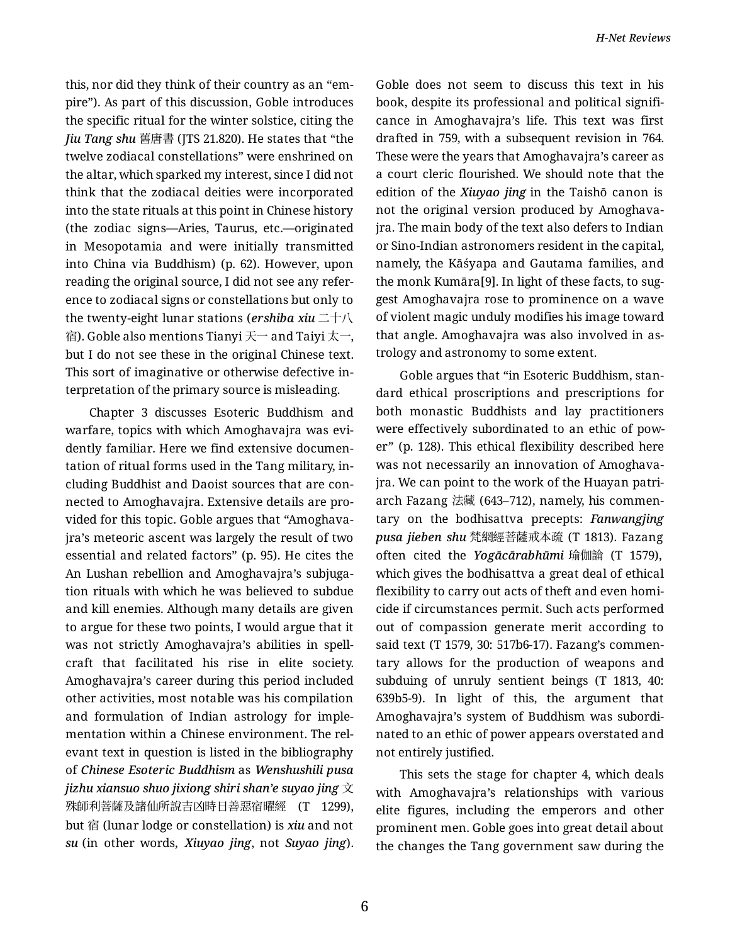this, nor did they think of their country as an "em‐ pire"). As part of this discussion, Goble introduces the specific ritual for the winter solstice, citing the *Jiu Tang shu* 舊唐書 (JTS 21.820). He states that "the twelve zodiacal constellations" were enshrined on the altar, which sparked my interest, since I did not think that the zodiacal deities were incorporated into the state rituals at this point in Chinese history (the zodiac signs—Aries, Taurus, etc.—originated in Mesopotamia and were initially transmitted into China via Buddhism) (p. 62). However, upon reading the original source, I did not see any refer‐ ence to zodiacal signs or constellations but only to the twenty-eight lunar stations (*ershiba xiu* 二十八 宿). Goble also mentions Tianyi 天一 and Taiyi 太一, but I do not see these in the original Chinese text. This sort of imaginative or otherwise defective in‐ terpretation of the primary source is misleading.

Chapter 3 discusses Esoteric Buddhism and warfare, topics with which Amoghavajra was evi‐ dently familiar. Here we find extensive documen‐ tation of ritual forms used in the Tang military, in‐ cluding Buddhist and Daoist sources that are con‐ nected to Amoghavajra. Extensive details are pro‐ vided for this topic. Goble argues that "Amoghava‐ jra's meteoric ascent was largely the result of two essential and related factors" (p. 95). He cites the An Lushan rebellion and Amoghavajra's subjuga‐ tion rituals with which he was believed to subdue and kill enemies. Although many details are given to argue for these two points, I would argue that it was not strictly Amoghavajra's abilities in spell‐ craft that facilitated his rise in elite society. Amoghavajra's career during this period included other activities, most notable was his compilation and formulation of Indian astrology for imple‐ mentation within a Chinese environment. The rel‐ evant text in question is listed in the bibliography of *Chinese Esoteric Buddhism* as *Wenshushili pusa jizhu xiansuo shuo jixiong shiri shan'e suyao jing* 文 殊師利菩薩及諸仙所說吉凶時日善惡宿曜經 (T 1299), but 宿 (lunar lodge or constellation) is *xiu* and not *su* (in other words, *Xiuyao jing*, not *Suyao jing*).

Goble does not seem to discuss this text in his book, despite its professional and political signifi‐ cance in Amoghavajra's life. This text was first drafted in 759, with a subsequent revision in 764. These were the years that Amoghavajra's career as a court cleric flourished. We should note that the edition of the *Xiuyao jing* in the Taishō canon is not the original version produced by Amoghava‐ jra. The main body of the text also defers to Indian or Sino-Indian astronomers resident in the capital, namely, the Kāśyapa and Gautama families, and the monk Kumāra[9]. In light of these facts, to sug‐ gest Amoghavajra rose to prominence on a wave of violent magic unduly modifies his image toward that angle. Amoghavajra was also involved in as‐ trology and astronomy to some extent.

Goble argues that "in Esoteric Buddhism, stan‐ dard ethical proscriptions and prescriptions for both monastic Buddhists and lay practitioners were effectively subordinated to an ethic of power" (p. 128). This ethical flexibility described here was not necessarily an innovation of Amoghava‐ jra. We can point to the work of the Huayan patri‐ arch Fazang 法藏 (643–712), namely, his commen‐ tary on the bodhisattva precepts: *Fanwangjing pusa jieben shu* 梵網經菩薩戒本疏 (T 1813). Fazang often cited the *Yogācārabhūmi* 瑜伽論 (T 1579), which gives the bodhisattva a great deal of ethical flexibility to carry out acts of theft and even homi‐ cide if circumstances permit. Such acts performed out of compassion generate merit according to said text (T 1579, 30: 517b6-17). Fazang's commen‐ tary allows for the production of weapons and subduing of unruly sentient beings (T 1813, 40: 639b5-9). In light of this, the argument that Amoghavajra's system of Buddhism was subordi‐ nated to an ethic of power appears overstated and not entirely justified.

This sets the stage for chapter 4, which deals with Amoghavajra's relationships with various elite figures, including the emperors and other prominent men. Goble goes into great detail about the changes the Tang government saw during the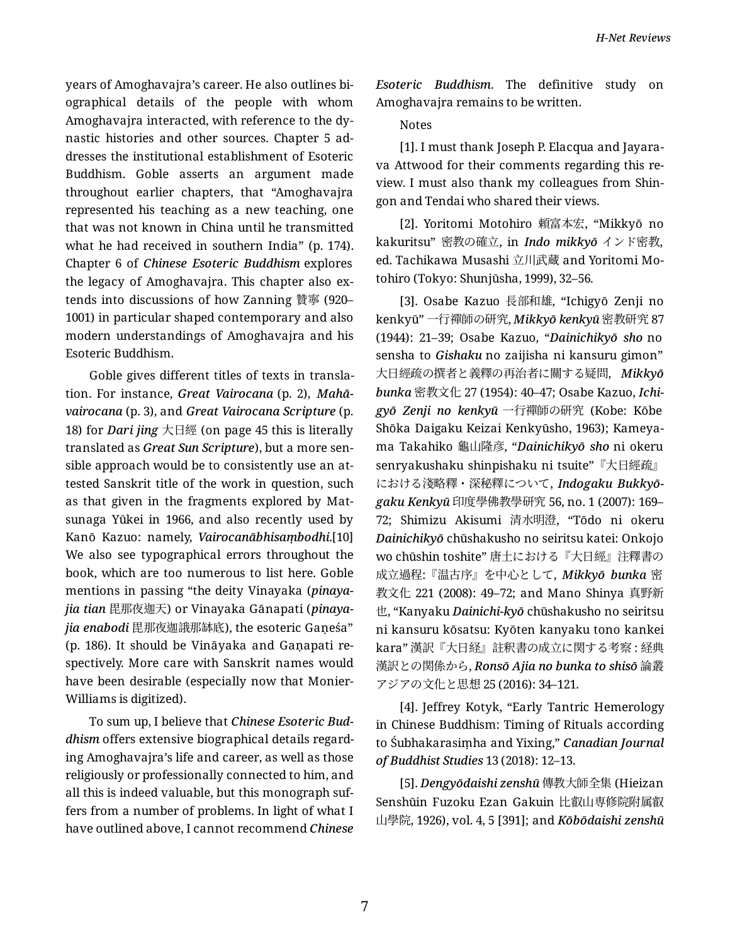years of Amoghavajra's career. He also outlines bi‐ ographical details of the people with whom Amoghavajra interacted, with reference to the dy‐ nastic histories and other sources. Chapter 5 ad‐ dresses the institutional establishment of Esoteric Buddhism. Goble asserts an argument made throughout earlier chapters, that "Amoghavajra represented his teaching as a new teaching, one that was not known in China until he transmitted what he had received in southern India" (p. 174). Chapter 6 of *Chinese Esoteric Buddhism* explores the legacy of Amoghavajra. This chapter also ex‐ tends into discussions of how Zanning 贊寧 (920– 1001) in particular shaped contemporary and also modern understandings of Amoghavajra and his Esoteric Buddhism.

Goble gives different titles of texts in transla‐ tion. For instance, *Great Vairocana* (p. 2), *Mahā‐ vairocana* (p. 3), and *Great Vairocana Scripture* (p. 18) for *Dari jing* 大日經 (on page 45 this is literally translated as *Great Sun Scripture*), but a more sen‐ sible approach would be to consistently use an at‐ tested Sanskrit title of the work in question, such as that given in the fragments explored by Mat‐ sunaga Yūkei in 1966, and also recently used by Kanō Kazuo: namely, *Vairocanābhisaṃbodhi*.[10] We also see typographical errors throughout the book, which are too numerous to list here. Goble mentions in passing "the deity Vinayaka (*pinaya‐ jia tian* 毘那夜迦天) or Vinayaka Gānapati (*pinaya‐ jia enabodi* 毘那夜迦誐那缽底), the esoteric Gaṇeśa" (p. 186). It should be Vināyaka and Gaṇapati re‐ spectively. More care with Sanskrit names would have been desirable (especially now that Monier-Williams is digitized).

To sum up, I believe that *Chinese Esoteric Bud‐ dhism* offers extensive biographical details regard‐ ing Amoghavajra's life and career, as well as those religiously or professionally connected to him, and all this is indeed valuable, but this monograph suf‐ fers from a number of problems. In light of what I have outlined above, I cannot recommend *Chinese*

*Esoteric Buddhism*. The definitive study on Amoghavajra remains to be written.

## Notes

[1]. I must thank Joseph P. Elacqua and Jayara‐ va Attwood for their comments regarding this re‐ view. I must also thank my colleagues from Shin‐ gon and Tendai who shared their views.

[2]. Yoritomi Motohiro 頼富本宏, "Mikkyō no kakuritsu" 密教の確立, in *Indo mikkyō* インド密教, ed. Tachikawa Musashi 立川武蔵 and Yoritomi Mo‐ tohiro (Tokyo: Shunjūsha, 1999), 32–56.

[3]. Osabe Kazuo 長部和雄, "Ichigyō Zenji no kenkyū" 一行禪師の研究, *Mikkyō kenkyū* 密教研究 87 (1944): 21–39; Osabe Kazuo, "*Dainichikyō sho* no sensha to *Gishaku* no zaijisha ni kansuru gimon" 大日經疏の撰者と義釋の再治者に關する疑問, *Mikkyō bunka* 密教文化 27 (1954): 40–47; Osabe Kazuo, *Ichi‐ gyō Zenji no kenkyū* 一行禪師の研究 (Kobe: Kōbe Shōka Daigaku Keizai Kenkyūsho, 1963); Kameya‐ ma Takahiko 龜山隆彦, "*Dainichikyō sho* ni okeru senryakushaku shinpishaku ni tsuite"『大日經疏』 における淺略釋・深秘釋について, *Indogaku Bukkyō‐ gaku Kenkyū* 印度學佛教學研究 56, no. 1 (2007): 169– 72; Shimizu Akisumi 清水明澄, "Tōdo ni okeru *Dainichikyō* chūshakusho no seiritsu katei: Onkojo wo chūshin toshite" 唐土における『大日經』注釋書の 成立過程:『温古序』を中心として, *Mikkyō bunka* 密 教文化 221 (2008): 49–72; and Mano Shinya 真野新 也, "Kanyaku *Dainichi-kyō* chūshakusho no seiritsu ni kansuru kōsatsu: Kyōten kanyaku tono kankei kara" 漢訳『大日経』註釈書の成立に関する考察 : 経典 漢訳との関係から, *Ronsō Ajia no bunka to shisō* 論叢 アジアの文化と思想 25 (2016): 34–121.

[4]. Jeffrey Kotyk, "Early Tantric Hemerology in Chinese Buddhism: Timing of Rituals according to Śubhakarasiṃha and Yixing," *Canadian Journal of Buddhist Studies* 13 (2018): 12–13.

[5]. *Dengyōdaishi zenshū* 傳教大師全集 (Hieizan Senshūin Fuzoku Ezan Gakuin 比叡山専修院附属叡 山學院, 1926), vol. 4, 5 [391]; and *Kōbōdaishi zenshū*